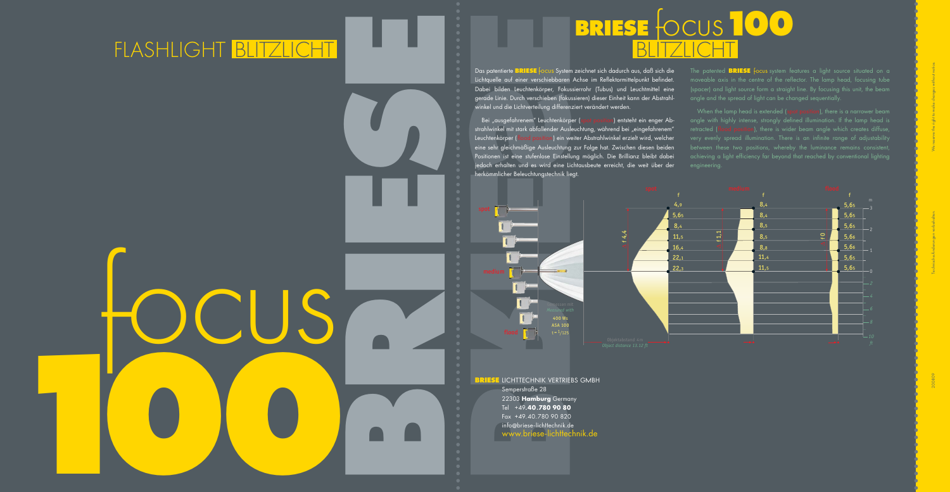

Das patentierte **BRIESE** focus System zeichnet sich dadurch aus, daß sich die Lichtquelle auf einer verschiebbaren Achse im Reflektormittelpunkt befindet. Dabei bilden Leuchtenkörper, Fokussierrohr (Tubus) und Leuchtmittel eine gerade Linie. Durch verschieben (fokussieren) dieser Einheit kann der Abstrahlwinkel und die Lichtverteilung differenziert verändert werden.

herkömmlicher Beleuchtungstechnik liegt.

Bei "ausgefahrenem" Leuchtenkörper (spot position) entsteht ein enger Abstrahlwinkel mit stark abfallender Ausleuchtung, während bei "eingefahrenem" Leuchtenkörper (flood position) ein weiter Abstrahlwinkel erzielt wird, welcher eine sehr gleichmäßige Ausleuchtung zur Folge hat. Zwischen diesen beiden Positionen ist eine stufenlose Einstellung möglich. Die Brillianz bleibt dabei jedoch erhalten und es wird eine Lichtausbeute erreicht, die weit über der

angle with highly intense, strongly defined illumination. If the lamp head is retracted (flood position), there is wider beam angle which creates diffuse, very evenly spread illumination. There is an infinite range of adjustability achieving a light efficiency far beyond that reached by conventional lighting engineering.

The patented **BRIESE** focus system features a light source situated on a moveable axis in the centre of the reflector. The lamp head, focusing tube (spacer) and light source form a straight line. By focusing this unit, the beam angle and the spread of light can be changed sequentially.



**BRIESE** LICHTTECHNIK VERTRIEBS GMBH Semperstraße 28 22303 **Hamburg** Germany Tel +49**.40.780 90 80** Fax +49.40.780 90 820 info @briese-lichttechnik.de www.briese-lichttechnik.de

# **BRIESE** FOCUS **100**

#### FLASH LIGHT BLITZLICHT BLITZLICHT